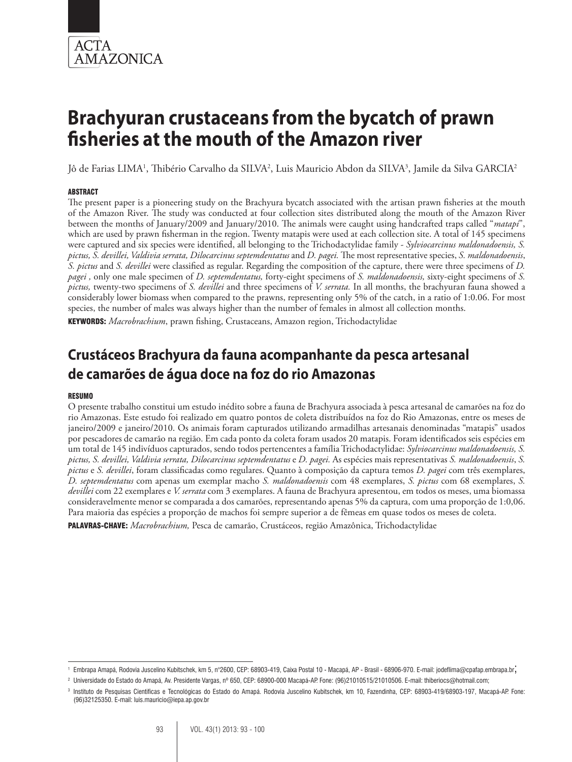

Jô de Farias LIMA<sup>1</sup>, Thibério Carvalho da SILVA<sup>2</sup>, Luis Mauricio Abdon da SILVA<sup>3</sup>, Jamile da Silva GARCIA<sup>2</sup>

#### **ABSTRACT**

The present paper is a pioneering study on the Brachyura bycatch associated with the artisan prawn fisheries at the mouth of the Amazon River. The study was conducted at four collection sites distributed along the mouth of the Amazon River between the months of January/2009 and January/2010. The animals were caught using handcrafted traps called "*matapi*", which are used by prawn fisherman in the region. Twenty matapis were used at each collection site. A total of 145 specimens were captured and six species were identified, all belonging to the Trichodactylidae family - *Sylviocarcinus maldonadoensis, S. pictus, S. devillei, Valdivia serrata, Dilocarcinus septemdentatus* and *D. pagei.* The most representative species, *S. maldonadoensis*, *S. pictus* and *S. devillei* were classified as regular. Regarding the composition of the capture, there were three specimens of *D. pagei ,* only one male specimen of *D. septemdentatus,* forty-eight specimens of *S. maldonadoensis,* sixty-eight specimens of *S. pictus,* twenty-two specimens of *S. devillei* and three specimens of *V. serrata.* In all months, the brachyuran fauna showed a considerably lower biomass when compared to the prawns, representing only 5% of the catch, in a ratio of 1:0.06. For most species, the number of males was always higher than the number of females in almost all collection months.

KEYWORDS: *Macrobrachium*, prawn fishing, Crustaceans, Amazon region, Trichodactylidae

## **Crustáceos Brachyura da fauna acompanhante da pesca artesanal de camarões de água doce na foz do rio Amazonas**

#### Resumo

O presente trabalho constitui um estudo inédito sobre a fauna de Brachyura associada à pesca artesanal de camarões na foz do rio Amazonas. Este estudo foi realizado em quatro pontos de coleta distribuídos na foz do Rio Amazonas, entre os meses de janeiro/2009 e janeiro/2010. Os animais foram capturados utilizando armadilhas artesanais denominadas "matapis" usados por pescadores de camarão na região. Em cada ponto da coleta foram usados 20 matapis. Foram identificados seis espécies em um total de 145 indivíduos capturados, sendo todos pertencentes a família Trichodactylidae: *Sylviocarcinus maldonadoensis, S. pictus, S. devillei, Valdivia serrata, Dilocarcinus septemdentatus* e *D. pagei.* As espécies mais representativas *S. maldonadoensis*, *S. pictus* e *S. devillei*, foram classificadas como regulares. Quanto à composição da captura temos *D. pagei* com três exemplares, *D. septemdentatus* com apenas um exemplar macho *S. maldonadoensis* com 48 exemplares, *S. pictus* com 68 exemplares, *S. devillei* com 22 exemplares e *V. serrata* com 3 exemplares. A fauna de Brachyura apresentou, em todos os meses, uma biomassa consideravelmente menor se comparada a dos camarões, representando apenas 5% da captura, com uma proporção de 1:0,06. Para maioria das espécies a proporção de machos foi sempre superior a de fêmeas em quase todos os meses de coleta.

Palavras-chave: *Macrobrachium,* Pesca de camarão, Crustáceos, região Amazônica, Trichodactylidae

<sup>1</sup> Embrapa Amapá, Rodovia Juscelino Kubitschek, km 5, n°2600, CEP: 68903-419, Caixa Postal 10 - Macapá, AP - Brasil - 68906-970. E-mail: jodeflima@cpafap.embrapa.br;

<sup>2</sup> Universidade do Estado do Amapá, Av. Presidente Vargas, nº 650, CEP: 68900-000 Macapá-AP. Fone: (96)21010515/21010506. E-mail: thiberiocs@hotmail.com;

<sup>3</sup> Instituto de Pesquisas Cientificas e Tecnológicas do Estado do Amapá. Rodovia Juscelino Kubitschek, km 10, Fazendinha, CEP: 68903-419/68903-197, Macapá-AP. Fone: (96)32125350. E-mail: luis.mauricio@iepa.ap.gov.br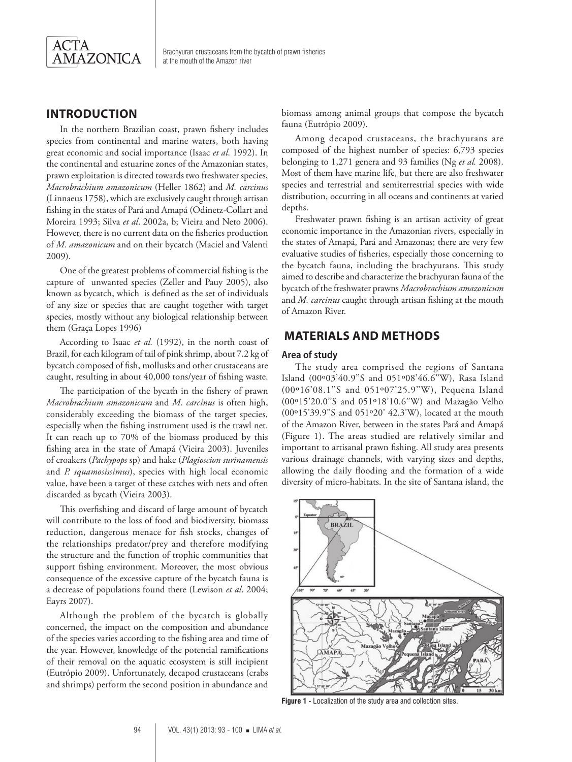

## **Introduction**

In the northern Brazilian coast, prawn fishery includes species from continental and marine waters, both having great economic and social importance (Isaac *et al*. 1992). In the continental and estuarine zones of the Amazonian states, prawn exploitation is directed towards two freshwater species, *Macrobrachium amazonicum* (Heller 1862) and *M. carcinus*  (Linnaeus 1758), which are exclusively caught through artisan fishing in the states of Pará and Amapá (Odinetz-Collart and Moreira 1993; Silva *et al*. 2002a, b; Vieira and Neto 2006). However, there is no current data on the fisheries production of *M. amazonicum* and on their bycatch (Maciel and Valenti 2009).

One of the greatest problems of commercial fishing is the capture of unwanted species (Zeller and Pauy 2005), also known as bycatch, which is defined as the set of individuals of any size or species that are caught together with target species, mostly without any biological relationship between them (Graça Lopes 1996)

According to Isaac *et al.* (1992), in the north coast of Brazil, for each kilogram of tail of pink shrimp, about 7.2 kg of bycatch composed of fish, mollusks and other crustaceans are caught, resulting in about 40,000 tons/year of fishing waste.

The participation of the bycath in the fishery of prawn *Macrobrachium amazonicum* and *M. carcinus* is often high, considerably exceeding the biomass of the target species, especially when the fishing instrument used is the trawl net. It can reach up to 70% of the biomass produced by this fishing area in the state of Amapá (Vieira 2003). Juveniles of croakers (*Pachypops* sp) and hake (*Plagioscion surinamensis* and *P. squamosissimus*), species with high local economic value, have been a target of these catches with nets and often discarded as bycath (Vieira 2003).

This overfishing and discard of large amount of bycatch will contribute to the loss of food and biodiversity, biomass reduction, dangerous menace for fish stocks, changes of the relationships predator/prey and therefore modifying the structure and the function of trophic communities that support fishing environment. Moreover, the most obvious consequence of the excessive capture of the bycatch fauna is a decrease of populations found there (Lewison *et al*. 2004; Eayrs 2007).

Although the problem of the bycatch is globally concerned, the impact on the composition and abundance of the species varies according to the fishing area and time of the year. However, knowledge of the potential ramifications of their removal on the aquatic ecosystem is still incipient (Eutrópio 2009). Unfortunately, decapod crustaceans (crabs and shrimps) perform the second position in abundance and

biomass among animal groups that compose the bycatch fauna (Eutrópio 2009).

Among decapod crustaceans, the brachyurans are composed of the highest number of species: 6,793 species belonging to 1,271 genera and 93 families (Ng *et al.* 2008). Most of them have marine life, but there are also freshwater species and terrestrial and semiterrestrial species with wide distribution, occurring in all oceans and continents at varied depths.

Freshwater prawn fishing is an artisan activity of great economic importance in the Amazonian rivers, especially in the states of Amapá, Pará and Amazonas; there are very few evaluative studies of fisheries, especially those concerning to the bycatch fauna, including the brachyurans. This study aimed to describe and characterize the brachyuran fauna of the bycatch of the freshwater prawns *Macrobrachium amazonicum* and *M. carcinus* caught through artisan fishing at the mouth of Amazon River.

## **Materials and Methods**

#### **Area of study**

The study area comprised the regions of Santana Island (00º03'40.9''S and 051º08'46.6''W), Rasa Island (00º16'08.1''S and 051º07'25.9''W), Pequena Island (00º15'20.0''S and 051º18'10.6''W) and Mazagão Velho (00º15'39.9''S and 051º20' 42.3'W), located at the mouth of the Amazon River, between in the states Pará and Amapá (Figure 1). The areas studied are relatively similar and important to artisanal prawn fishing. All study area presents various drainage channels, with varying sizes and depths, allowing the daily flooding and the formation of a wide diversity of micro-habitats. In the site of Santana island, the



**Figure 1 -** Localization of the study area and collection sites.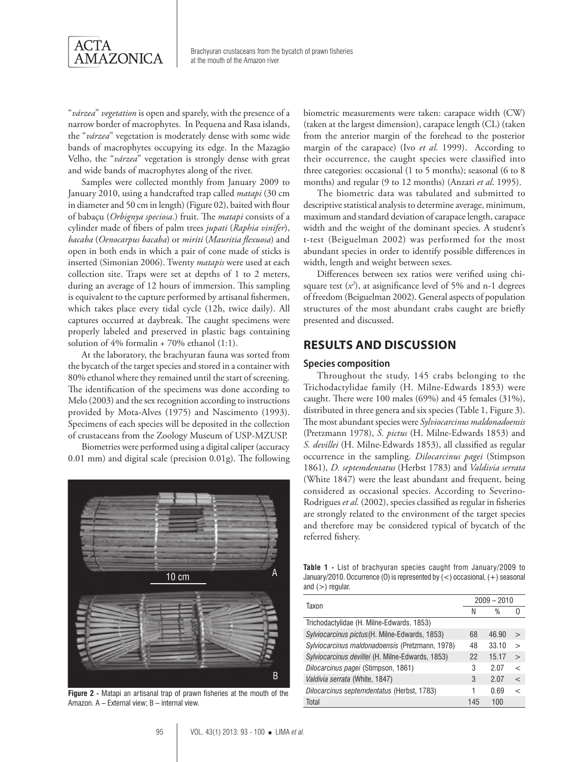

"*várzea*" *vegetation* is open and sparely, with the presence of a narrow border of macrophytes. In Pequena and Rasa islands, the "*várzea*" vegetation is moderately dense with some wide bands of macrophytes occupying its edge. In the Mazagão Velho, the "*várzea*" vegetation is strongly dense with great and wide bands of macrophytes along of the river.

Samples were collected monthly from January 2009 to January 2010, using a handcrafted trap called *matapi* (30 cm in diameter and 50 cm in length) (Figure 02), baited with flour of babaçu (*Orbignya speciosa.*) fruit. The *matapi* consists of a cylinder made of fibers of palm trees *jupati* (*Raphia vinifer*), *bacaba* (*Oenocarpus bacaba*) or *miriti* (*Mauritia flexuosa*) and open in both ends in which a pair of cone made of sticks is inserted (Simonian 2006). Twenty *matapis* were used at each collection site. Traps were set at depths of 1 to 2 meters, during an average of 12 hours of immersion. This sampling is equivalent to the capture performed by artisanal fishermen, which takes place every tidal cycle (12h, twice daily). All captures occurred at daybreak. The caught specimens were properly labeled and preserved in plastic bags containing solution of  $4\%$  formalin + 70% ethanol (1:1).

At the laboratory, the brachyuran fauna was sorted from the bycatch of the target species and stored in a container with 80% ethanol where they remained until the start of screening. The identification of the specimens was done according to Melo (2003) and the sex recognition according to instructions provided by Mota-Alves (1975) and Nascimento (1993). Specimens of each species will be deposited in the collection of crustaceans from the Zoology Museum of USP-MZUSP.

Biometries were performed using a digital caliper (accuracy 0.01 mm) and digital scale (precision 0.01g). The following



**Figure 2 -** Matapi an artisanal trap of prawn fisheries at the mouth of the Amazon. A – External view; B – internal view.

biometric measurements were taken: carapace width (CW) (taken at the largest dimension), carapace length (CL) (taken from the anterior margin of the forehead to the posterior margin of the carapace) (Ivo *et al.* 1999). According to their occurrence, the caught species were classified into three categories: occasional (1 to 5 months); seasonal (6 to 8 months) and regular (9 to 12 months) (Anzari *et al*. 1995).

The biometric data was tabulated and submitted to descriptive statistical analysis to determine average, minimum, maximum and standard deviation of carapace length, carapace width and the weight of the dominant species. A student's t-test (Beiguelman 2002) was performed for the most abundant species in order to identify possible differences in width, length and weight between sexes.

Differences between sex ratios were verified using chisquare test (*x2* ), at asignificance level of 5% and n-1 degrees of freedom (Beiguelman 2002). General aspects of population structures of the most abundant crabs caught are briefly presented and discussed.

## **Results and Discussion**

#### **Species composition**

Throughout the study, 145 crabs belonging to the Trichodactylidae family (H. Milne-Edwards 1853) were caught. There were 100 males (69%) and 45 females (31%), distributed in three genera and six species (Table 1, Figure 3). The most abundant species were *Sylviocarcinus maldonadoensis*  (Pretzmann 1978), *S. pictus* (H. Milne-Edwards 1853) and *S. devillei* (H. Milne-Edwards 1853), all classified as regular occurrence in the sampling. *Dilocarcinus pagei* (Stimpson 1861)*, D. septemdentatus* (Herbst 1783) and *Valdivia serrata*  (White 1847) were the least abundant and frequent, being considered as occasional species. According to Severino-Rodrigues *et al.* (2002), species classified as regular in fisheries are strongly related to the environment of the target species and therefore may be considered typical of bycatch of the referred fishery.

**Table 1 -** List of brachyuran species caught from January/2009 to January/2010. Occurrence (O) is represented by (<) occasional, (+) seasonal and  $(>)$  regular.

| Taxon                                            |     | $2009 - 2010$ |              |  |  |
|--------------------------------------------------|-----|---------------|--------------|--|--|
|                                                  | N   | %             |              |  |  |
| Trichodactylidae (H. Milne-Edwards, 1853)        |     |               |              |  |  |
| Sylviocarcinus pictus (H. Milne-Edwards, 1853)   | 68  | 46.90         | $\geq$       |  |  |
| Sylviocarcinus maldonadoensis (Pretzmann, 1978)  | 48  | 33.10         | $\mathbf{I}$ |  |  |
| Sylviocarcinus devillei (H. Milne-Edwards, 1853) | 22  | 15.17         | $\geq$       |  |  |
| Dilocarcinus pagei (Stimpson, 1861)              | 3   | 2.07          | $\,<\,$      |  |  |
| Valdivia serrata (White, 1847)                   | 3   | 2.07          | $\lt$        |  |  |
| Dilocarcinus septemdentatus (Herbst, 1783)       |     | 0.69          | $\,<\,$      |  |  |
| Total                                            | 145 | 100           |              |  |  |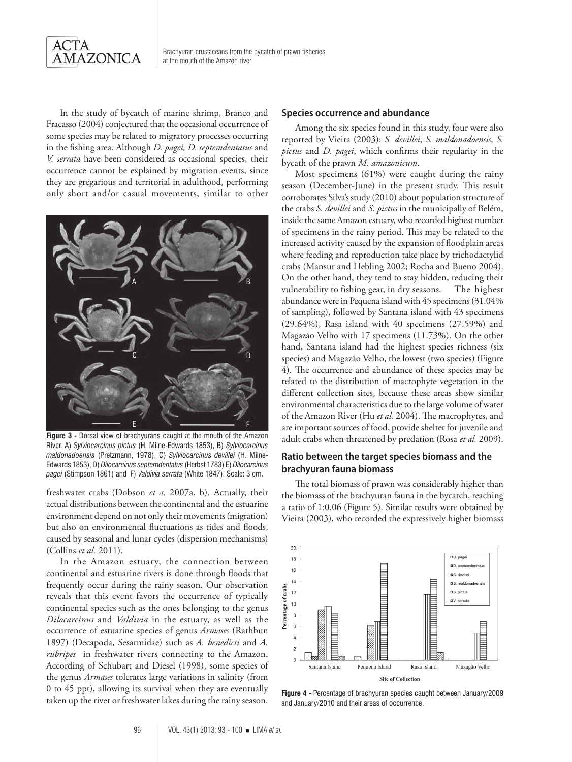

In the study of bycatch of marine shrimp, Branco and Fracasso (2004) conjectured that the occasional occurrence of some species may be related to migratory processes occurring in the fishing area. Although *D. pagei, D. septemdentatus* and *V. serrata* have been considered as occasional species, their occurrence cannot be explained by migration events, since they are gregarious and territorial in adulthood, performing only short and/or casual movements, similar to other



**Figure 3 -** Dorsal view of brachyurans caught at the mouth of the Amazon River. A) *Sylviocarcinus pictus* (H. Milne-Edwards 1853), B) *Sylviocarcinus maldonadoensis* (Pretzmann, 1978), C) *Sylviocarcinus devillei* (H. Milne-Edwards 1853), D) *Dilocarcinus septemdentatus* (Herbst 1783) E) *Dilocarcinus pagei* (Stimpson 1861) and F) *Valdivia serrata* (White 1847). Scale: 3 cm.

freshwater crabs (Dobson *et a.* 2007a, b). Actually, their actual distributions between the continental and the estuarine environment depend on not only their movements (migration) but also on environmental fluctuations as tides and floods, caused by seasonal and lunar cycles (dispersion mechanisms) (Collins *et al.* 2011).

In the Amazon estuary, the connection between continental and estuarine rivers is done through floods that frequently occur during the rainy season. Our observation reveals that this event favors the occurrence of typically continental species such as the ones belonging to the genus *Dilocarcinus* and *Valdivia* in the estuary, as well as the occurrence of estuarine species of genus *Armases* (Rathbun 1897) (Decapoda, Sesarmidae) such as *A. benedicti* and *A. rubripes* in freshwater rivers connecting to the Amazon. According of Schubart and Diesel (1998), some species of the genus *Armases* tolerates large variations in salinity (from 0 to 45 ppt), allowing its survival when they are eventually taken up the river or freshwater lakes during the rainy season. **Figure 4 -** Percentage of brachyuran species caught between January/2009

#### **Species occurrence and abundance**

Among the six species found in this study, four were also reported by Vieira (2003): *S. devillei*, *S. maldonadoensis, S. pictus* and *D. pagei*, which confirms their regularity in the bycath of the prawn *M. amazonicum*.

Most specimens (61%) were caught during the rainy season (December-June) in the present study. This result corroborates Silva's study (2010) about population structure of the crabs *S. devillei* and *S. pictus* in the municipally of Belém, inside the same Amazon estuary, who recorded highest number of specimens in the rainy period. This may be related to the increased activity caused by the expansion of floodplain areas where feeding and reproduction take place by trichodactylid crabs (Mansur and Hebling 2002; Rocha and Bueno 2004). On the other hand, they tend to stay hidden, reducing their vulnerability to fishing gear, in dry seasons. The highest abundance were in Pequena island with 45 specimens (31.04% of sampling), followed by Santana island with 43 specimens (29.64%), Rasa island with 40 specimens (27.59%) and Magazão Velho with 17 specimens (11.73%). On the other hand, Santana island had the highest species richness (six species) and Magazão Velho, the lowest (two species) (Figure 4). The occurrence and abundance of these species may be related to the distribution of macrophyte vegetation in the different collection sites, because these areas show similar environmental characteristics due to the large volume of water of the Amazon River (Hu *et al.* 2004). The macrophytes, and are important sources of food, provide shelter for juvenile and adult crabs when threatened by predation (Rosa *et al.* 2009).

#### **Ratio between the target species biomass and the brachyuran fauna biomass**

The total biomass of prawn was considerably higher than the biomass of the brachyuran fauna in the bycatch, reaching a ratio of 1:0.06 (Figure 5). Similar results were obtained by Vieira (2003), who recorded the expressively higher biomass



and January/2010 and their areas of occurrence.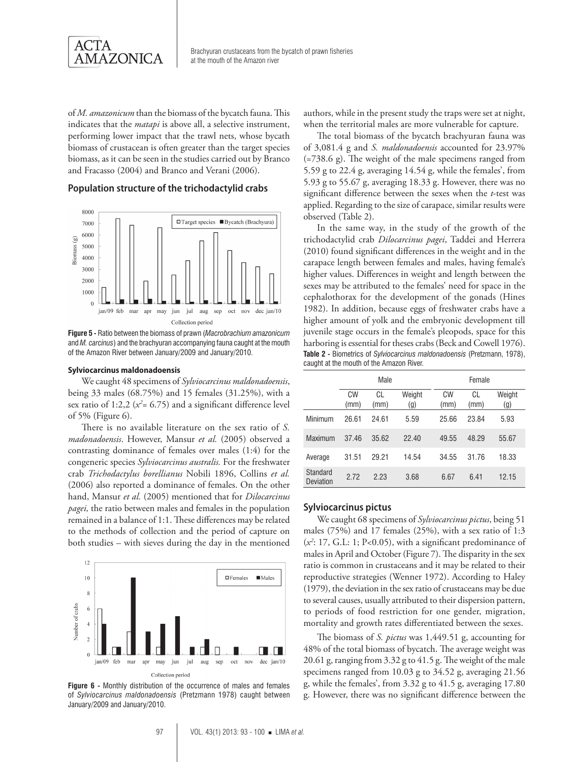

of *M. amazonicum* than the biomass of the bycatch fauna. This indicates that the *matapi* is above all, a selective instrument, performing lower impact that the trawl nets, whose bycath biomass of crustacean is often greater than the target species biomass, as it can be seen in the studies carried out by Branco and Fracasso (2004) and Branco and Verani (2006).

### **Population structure of the trichodactylid crabs**



**Figure 5 -** Ratio between the biomass of prawn (*Macrobrachium amazonicum*  and *M. carcinus*) and the brachyuran accompanying fauna caught at the mouth of the Amazon River between January/2009 and January/2010.

#### **Sylviocarcinus maldonadoensis**

We caught 48 specimens of *Sylviocarcinus maldonadoensis*, being 33 males (68.75%) and 15 females (31.25%), with a sex ratio of  $1:2,2$  ( $x^2$ = 6.75) and a significant difference level of 5% (Figure 6).

There is no available literature on the sex ratio of *S. madonadoensis*. However, Mansur *et al.* (2005) observed a contrasting dominance of females over males (1:4) for the congeneric species *Sylviocarcinus australis.* For the freshwater crab *Trichodactylus borellianus* Nobili 1896, Collins *et al.* (2006) also reported a dominance of females. On the other hand, Mansur *et al.* (2005) mentioned that for *Dilocarcinus pagei,* the ratio between males and females in the population remained in a balance of 1:1. These differences may be related to the methods of collection and the period of capture on both studies – with sieves during the day in the mentioned



**Figure 6 -** Monthly distribution of the occurrence of males and females of *Sylviocarcinus maldonadoensis* (Pretzmann 1978) caught between January/2009 and January/2010.

authors, while in the present study the traps were set at night, when the territorial males are more vulnerable for capture.

The total biomass of the bycatch brachyuran fauna was of 3,081.4 g and *S. maldonadoensis* accounted for 23.97% (=738.6 g). The weight of the male specimens ranged from 5.59 g to 22.4 g, averaging 14.54 g, while the females', from 5.93 g to 55.67 g, averaging 18.33 g. However, there was no significant difference between the sexes when the *t*-test was applied. Regarding to the size of carapace, similar results were observed (Table 2).

In the same way, in the study of the growth of the trichodactylid crab *Dilocarcinus pagei*, Taddei and Herrera (2010) found significant differences in the weight and in the carapace length between females and males, having female's higher values. Differences in weight and length between the sexes may be attributed to the females' need for space in the cephalothorax for the development of the gonads (Hines 1982). In addition, because eggs of freshwater crabs have a higher amount of yolk and the embryonic development till juvenile stage occurs in the female's pleopods, space for this harboring is essential for theses crabs (Beck and Cowell 1976). **Table 2 -** Biometrics of *Sylviocarcinus maldonadoensis* (Pretzmann, 1978), caught at the mouth of the Amazon River.

|                       | <b>Male</b> |            |               | Female     |            |               |  |
|-----------------------|-------------|------------|---------------|------------|------------|---------------|--|
|                       | CW<br>(mm)  | CL<br>(mm) | Weight<br>(g) | CW<br>(mm) | CL<br>(mm) | Weight<br>(g) |  |
| Minimum               | 26.61       | 24.61      | 5.59          | 25.66      | 23.84      | 5.93          |  |
| Maximum               | 37.46       | 35.62      | 22.40         | 49.55      | 48.29      | 55.67         |  |
| Average               | 31.51       | 29.21      | 14.54         | 34.55      | 31.76      | 18.33         |  |
| Standard<br>Deviation | 2.72        | 2.23       | 3.68          | 6.67       | 6.41       | 12.15         |  |

#### **Sylviocarcinus pictus**

We caught 68 specimens of *Sylviocarcinus pictus*, being 51 males (75%) and 17 females (25%), with a sex ratio of 1:3 (*x2* : 17, G.L: 1; P<0.05), with a significant predominance of males in April and October (Figure 7). The disparity in the sex ratio is common in crustaceans and it may be related to their reproductive strategies (Wenner 1972). According to Haley (1979), the deviation in the sex ratio of crustaceans may be due to several causes, usually attributed to their dispersion pattern, to periods of food restriction for one gender, migration, mortality and growth rates differentiated between the sexes.

The biomass of *S. pictus* was 1,449.51 g, accounting for 48% of the total biomass of bycatch. The average weight was 20.61 g, ranging from 3.32 g to 41.5 g. The weight of the male specimens ranged from 10.03 g to 34.52 g, averaging 21.56 g, while the females', from 3.32 g to 41.5 g, averaging 17.80 g. However, there was no significant difference between the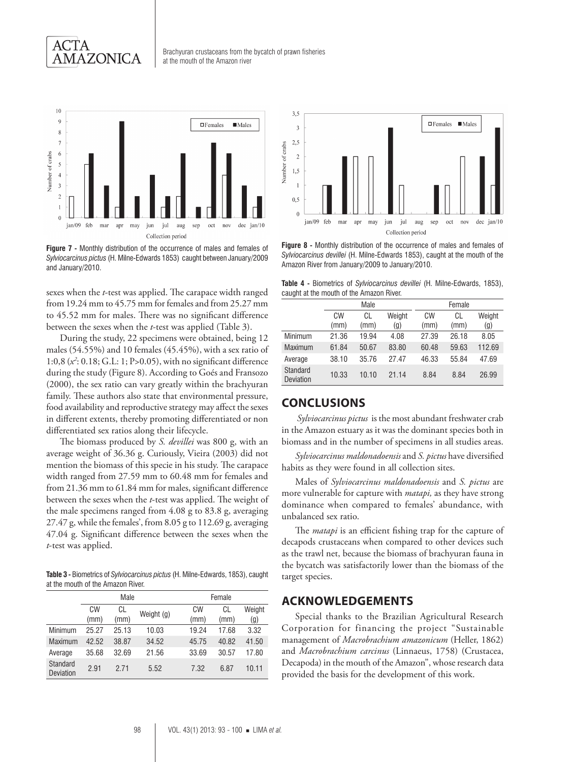



**Figure 7 -** Monthly distribution of the occurrence of males and females of *Sylviocarcinus pictus* (H. Milne-Edwards 1853) caught between January/2009 and January/2010.

sexes when the *t*-test was applied. The carapace width ranged from 19.24 mm to 45.75 mm for females and from 25.27 mm to 45.52 mm for males. There was no significant difference between the sexes when the *t*-test was applied (Table 3).

During the study, 22 specimens were obtained, being 12 males (54.55%) and 10 females (45.45%), with a sex ratio of 1:0,8 (*x2* : 0.18; G.L: 1; P>0.05), with no significant difference during the study (Figure 8). According to Goés and Fransozo (2000), the sex ratio can vary greatly within the brachyuran family. These authors also state that environmental pressure, food availability and reproductive strategy may affect the sexes in different extents, thereby promoting differentiated or non differentiated sex ratios along their lifecycle.

The biomass produced by *S. devillei* was 800 g, with an average weight of 36.36 g. Curiously, Vieira (2003) did not mention the biomass of this specie in his study. The carapace width ranged from 27.59 mm to 60.48 mm for females and from 21.36 mm to 61.84 mm for males, significant difference between the sexes when the *t*-test was applied. The weight of the male specimens ranged from 4.08 g to 83.8 g, averaging 27.47 g, while the females', from 8.05 g to 112.69 g, averaging 47.04 g. Significant difference between the sexes when the *t*-test was applied.

**Table 3 -** Biometrics of *Sylviocarcinus pictus* (H. Milne-Edwards, 1853), caught at the mouth of the Amazon River.

|                       | Male       |            |            |            | Female     |               |  |  |
|-----------------------|------------|------------|------------|------------|------------|---------------|--|--|
|                       | CW<br>(mm) | CL<br>(mm) | Weight (g) | CW<br>(mm) | CL<br>(mm) | Weight<br>(g) |  |  |
| Minimum               | 25.27      | 25.13      | 10.03      | 19.24      | 17.68      | 3.32          |  |  |
| <b>Maximum</b>        | 42.52      | 38.87      | 34.52      | 45.75      | 40.82      | 41.50         |  |  |
| Average               | 35.68      | 32.69      | 21.56      | 33.69      | 30.57      | 17.80         |  |  |
| Standard<br>Deviation | 2.91       | 2 71       | 5.52       | 7.32       | 6.87       | 10.11         |  |  |



**Figure 8 -** Monthly distribution of the occurrence of males and females of *Sylviocarcinus devillei* (H. Milne-Edwards 1853), caught at the mouth of the Amazon River from January/2009 to January/2010.

**Table 4 -** Biometrics of *Sylviocarcinus devillei* (H. Milne-Edwards, 1853), caught at the mouth of the Amazon River.

|                       | Male       |            |               | Female     |            |               |  |
|-----------------------|------------|------------|---------------|------------|------------|---------------|--|
|                       | CW<br>(mm) | CL<br>(mm) | Weight<br>(g) | СW<br>(mm) | CL<br>(mm) | Weight<br>(g) |  |
| Minimum               | 21.36      | 19.94      | 4.08          | 27.39      | 26.18      | 8.05          |  |
| Maximum               | 61.84      | 50.67      | 83.80         | 60.48      | 59.63      | 112.69        |  |
| Average               | 38.10      | 35.76      | 27.47         | 46.33      | 55.84      | 47.69         |  |
| Standard<br>Deviation | 10.33      | 10.10      | 21.14         | 8.84       | 8.84       | 26.99         |  |

## **Conclusions**

*Sylviocarcinus pictus* is the most abundant freshwater crab in the Amazon estuary as it was the dominant species both in biomass and in the number of specimens in all studies areas.

*Sylviocarcinus maldonadoensis* and *S. pictus* have diversified habits as they were found in all collection sites.

Males of *Sylviocarcinus maldonadoensis* and *S. pictus* are more vulnerable for capture with *matapi,* as they have strong dominance when compared to females' abundance, with unbalanced sex ratio.

The *matapi* is an efficient fishing trap for the capture of decapods crustaceans when compared to other devices such as the trawl net, because the biomass of brachyuran fauna in the bycatch was satisfactorily lower than the biomass of the target species.

## **Acknowledgements**

Special thanks to the Brazilian Agricultural Research Corporation for financing the project "Sustainable management of *Macrobrachium amazonicum* (Heller, 1862) and *Macrobrachium carcinus* (Linnaeus, 1758) (Crustacea, Decapoda) in the mouth of the Amazon", whose research data provided the basis for the development of this work.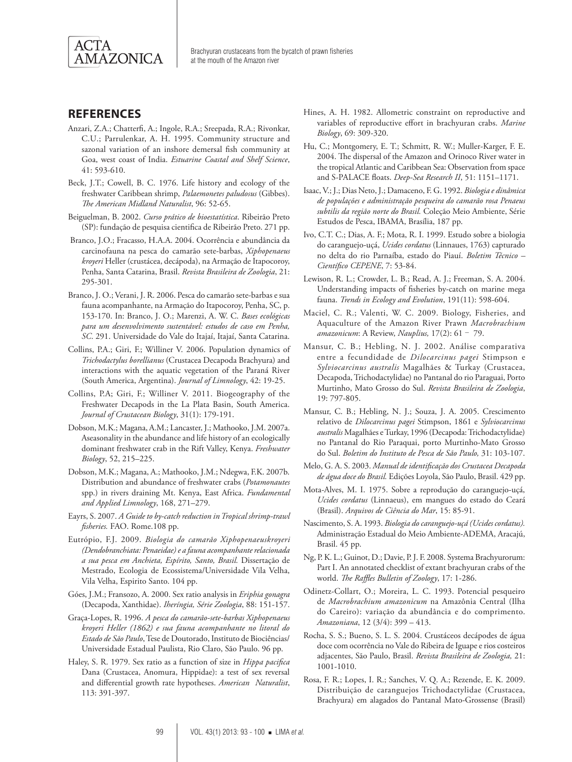

## **References**

- Anzari, Z.A.; Chatterfi, A.; Ingole, R.A.; Sreepada, R.A.; Rivonkar, C.U.; Parrulenkar, A. H. 1995. Community structure and sazonal variation of an inshore demersal fish community at Goa, west coast of India. *Estuarine Coastal and Shelf Science*, 41: 593-610.
- Beck, J.T.; Cowell, B. C. 1976. Life history and ecology of the freshwater Caribbean shrimp, *Palaemonetes paludosus* (Gibbes). *The American Midland Naturalist*, 96: 52-65.
- Beiguelman, B. 2002. *Curso prático de bioestatística*. Ribeirão Preto (SP): fundação de pesquisa cientifica de Ribeirão Preto. 271 pp.
- Branco, J.O.; Fracasso, H.A.A. 2004. Ocorrência e abundância da carcinofauna na pesca do camarão sete-barbas, *Xiphopenaeus kroyeri* Heller (crustácea, decápoda), na Armação de Itapocoroy, Penha, Santa Catarina, Brasil. *Revista Brasileira de Zoologia*, 21: 295-301.
- Branco, J. O.; Verani, J. R. 2006. Pesca do camarão sete-barbas e sua fauna acompanhante, na Armação do Itapocoroy, Penha, SC, p. 153-170. In: Branco, J. O.; Marenzi, A. W. C. *Bases ecológicas para um desenvolvimento sustentável: estudos de caso em Penha, SC*. 291. Universidade do Vale do Itajaí, Itajaí, Santa Catarina.
- Collins, P.A.; Giri, F.; Williner V. 2006. Population dynamics of *Trichodactylus borellianus* (Crustacea Decapoda Brachyura) and interactions with the aquatic vegetation of the Paraná River (South America, Argentina). *Journal of Limnology*, 42: 19-25.
- Collins, P.A; Giri, F.; Williner V. 2011. Biogeography of the Freshwater Decapods in the La Plata Basin, South America. *Journal of Crustacean Biology*, 31(1): 179-191.
- Dobson, M.K.; Magana, A.M.; Lancaster, J.; Mathooko, J.M. 2007a. Aseasonality in the abundance and life history of an ecologically dominant freshwater crab in the Rift Valley, Kenya. *Freshwater Biology*, 52, 215–225.
- Dobson, M.K.; Magana, A.; Mathooko, J.M.; Ndegwa, F.K. 2007b. Distribution and abundance of freshwater crabs (*Potamonautes* spp.) in rivers draining Mt. Kenya, East Africa. *Fundamental and Applied Limnology*, 168, 271–279.
- Eayrs, S. 2007. *A Guide to by-catch reduction in Tropical shrimp-trawl fisheries.* FAO. Rome.108 pp.
- Eutrópio, F.J. 2009. *Biologia do camarão Xiphopenaeuskroyeri (Dendobranchiata: Penaeidae) e a fauna acompanhante relacionada a sua pesca em Anchieta, Espírito, Santo, Brasil.* Dissertação de Mestrado, Ecologia de Ecossistema/Universidade Vila Velha, Vila Velha, Espirito Santo. 104 pp.
- Góes, J.M.; Fransozo, A. 2000. Sex ratio analysis in *Eriphia gonagra*  (Decapoda, Xanthidae). *Iheríngia, Série Zoologia*, 88: 151-157.
- Graça-Lopes, R. 1996. *A pesca do camarão-sete-barbas Xiphopenaeus kroyeri Heller (1862) e sua fauna acompanhante no litoral do Estado de São Paulo*, Tese de Doutorado, Instituto de Biociências/ Universidade Estadual Paulista, Rio Claro, São Paulo. 96 pp.
- Haley, S. R. 1979. Sex ratio as a function of size in *Hippa pacifica*  Dana (Crustacea, Anomura, Hippidae): a test of sex reversal and differential growth rate hypotheses. *American Naturalist*, 113: 391-397.
- Hines, A. H. 1982. Allometric constraint on reproductive and variables of reproductive effort in brachyuran crabs. *Marine Biology*, 69: 309-320.
- Hu, C.; Montgomery, E. T.; Schmitt, R. W.; Muller-Karger, F. E. 2004. The dispersal of the Amazon and Orinoco River water in the tropical Atlantic and Caribbean Sea: Observation from space and S-PALACE floats. *Deep-Sea Research II*, 51: 1151–1171.
- Isaac, V.; J.; Dias Neto, J.; Damaceno, F. G. 1992. *Biologia e dinâmica de populações e administração pesqueira do camarão rosa Penaeus subtilis da região norte do Brasil.* Coleção Meio Ambiente, Série Estudos de Pesca, IBAMA, Brasília, 187 pp.
- Ivo, C.T. C.; Dias, A. F.; Mota, R. I. 1999. Estudo sobre a biologia do caranguejo-uçá, *Ucides cordatus* (Linnaues, 1763) capturado no delta do rio Parnaíba, estado do Piauí. *Boletim Técnico – Científico CEPENE*, 7: 53-84.
- Lewison, R. L.; Crowder, L. B.; Read, A. J.; Freeman, S. A. 2004. Understanding impacts of fisheries by-catch on marine mega fauna. *Trends in Ecology and Evolution*, 191(11): 598-604.
- Maciel, C. R.; Valenti, W. C. 2009. Biology, Fisheries, and Aquaculture of the Amazon River Prawn *Macrobrachium amazonicum*: A Review, *Nauplius,* 17(2): 61 ‑ 79.
- Mansur, C. B.; Hebling, N. J. 2002. Análise comparativa entre a fecundidade de *Dilocarcinus pagei* Stimpson e *Sylviocarcinus australis* Magalhães & Turkay (Crustacea, Decapoda, Trichodactylidae) no Pantanal do rio Paraguai, Porto Murtinho, Mato Grosso do Sul. *Revista Brasileira de Zoologia*, 19: 797-805.
- Mansur, C. B.; Hebling, N. J.; Souza, J. A. 2005. Crescimento relativo de *Dilocarcinus pagei* Stimpson, 1861 e *Sylviocarcinus australis* Magalhães e Turkay, 1996 (Decapoda: Trichodactylidae) no Pantanal do Rio Paraquai, porto Murtinho-Mato Grosso do Sul. *Boletim do Instituto de Pesca de São Paulo,* 31: 103-107.
- Melo, G. A. S. 2003. *Manual de identificação dos Crustacea Decapoda de água doce do Brasil.* Edições Loyola, São Paulo, Brasil. 429 pp.
- Mota-Alves, M. I. 1975. Sobre a reprodução do caranguejo-uçá, *Ucides cordatus* (Linnaeus), em mangues do estado do Ceará (Brasil). *Arquivos de Ciência do Mar*, 15: 85-91.
- Nascimento, S. A. 1993. *Biologia do caranguejo-uçá (Ucides cordatus).*  Administração Estadual do Meio Ambiente-ADEMA, Aracajú, Brasil. 45 pp.
- Ng, P. K. L.; Guinot, D.; Davie, P. J. F. 2008. Systema Brachyurorum: Part I. An annotated checklist of extant brachyuran crabs of the world. *The Raffles Bulletin of Zoology*, 17: 1-286.
- Odinetz-Collart, O.; Moreira, L. C. 1993. Potencial pesqueiro de *Macrobrachium amazonicum* na Amazônia Central (Ilha do Careiro): variação da abundância e do comprimento. *Amazoniana*, 12 (3/4): 399 – 413.
- Rocha, S. S.; Bueno, S. L. S. 2004. Crustáceos decápodes de água doce com ocorrência no Vale do Ribeira de Iguape e rios costeiros adjacentes, São Paulo, Brasil. *Revista Brasileira de Zoologia,* 21: 1001-1010.
- Rosa, F. R.; Lopes, I. R.; Sanches, V. Q. A.; Rezende, E. K. 2009. Distribuição de caranguejos Trichodactylidae (Crustacea, Brachyura) em alagados do Pantanal Mato-Grossense (Brasil)